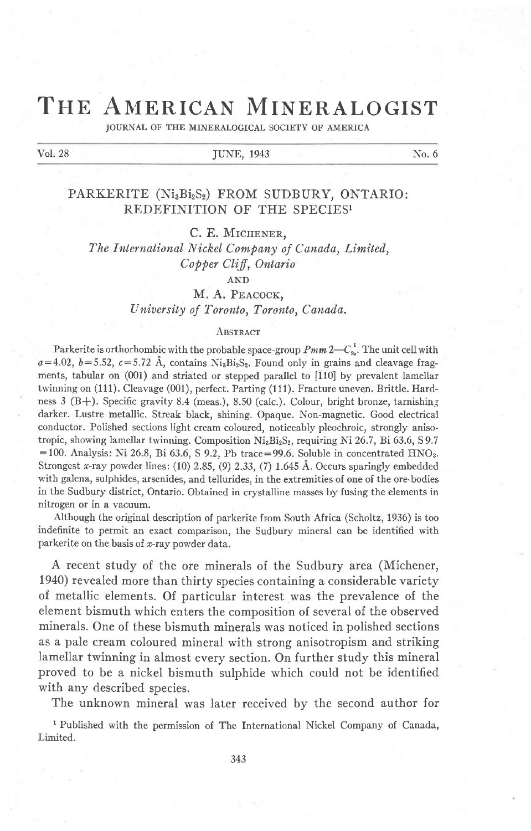# THE AMERICAN MINERALOGIST

JOURNAL OF THE MINERALOGICAL SOCIETY OF AMERICA

#### Vol. 28 **JUNE, 1943** No. 6

PARKERITE (Ni3Bi2S2) FROM SUDBURY, ONTARIO: REDEFINITION OF THE SPECIES1

C. E. MICHENER.

The International Nickel Company of Canada, Limited, Copper Cliff, Ontario

AND

M. A. PEACOCK, University of Toronto, Toronto, Canada.

#### **ABSTRACT**

Parkerite is orthorhombic with the probable space-group  $Pmm 2-C_{2v}^1$ . The unit cell with  $a=4.02$ ,  $b=5.52$ ,  $c=5.72$  Å, contains Ni<sub>3</sub>Bi<sub>2</sub>S<sub>2</sub>. Found only in grains and cleavage fragments, tabular on (001) and striated or stepped parallel to [110] by prevalent lamellar twinning on (111). Cleavage (001), perfect. Parting (111). Fracture uneven. Brittle. Hardness 3 (B+). Specific gravity 8.4 (meas.), 8.50 (calc.). Colour, bright bronze, tarnishing darker. Lustre metallic. Streak black, shining. Opaque. Non-magnetic. Good electrical conductor. Polished sections light cream coloured, noticeably pleochroic, strongly anisotropic, showing lamellar twinning. Composition  $Ni_3Bi_2S_2$ , requiring Ni 26.7, Bi 63.6, S9.7  $=100$ . Analysis: Ni 26.8, Bi 63.6, S 9.2, Pb trace=99.6. Soluble in concentrated HNO<sub>3</sub>. Strongest x-ray powder lines:  $(10)$  2.85,  $(9)$  2.33,  $(7)$  1.645 Å. Occurs sparingly embedded with galena, sulphides, arsenides, and tellurides, in the extremities of one of the ore-bodies in the Sudbury district, Ontario. Obtained in crystalline masses by fusing the elements in nitrogen or in a vacuum.

Although the original description of parkerite from South Africa (Scholtz, 1936) is too indefinite to permit an exact comparison, the Sudbury mineral can be identified with parkerite on the basis of  $x$ -ray powder data.

A recent study of the ore minerals of the Sudbury area (Michener, 1940) revealed more than thirty species containing a considerable variety of metallic elements. Of particular interest was the prevalence of the element bismuth which enters the composition of several of the observed minerals. One of these bismuth minerals was noticed in polished sections as a pale cream coloured mineral with strong anisotropism and striking lamellar twinning in almost every section. On further study this mineral proved to be a nickel bismuth sulphide which could not be identified with any described species.

The unknown mineral was later received by the second author for

<sup>1</sup> Published with the permission of The International Nickel Company of Canada, Limited.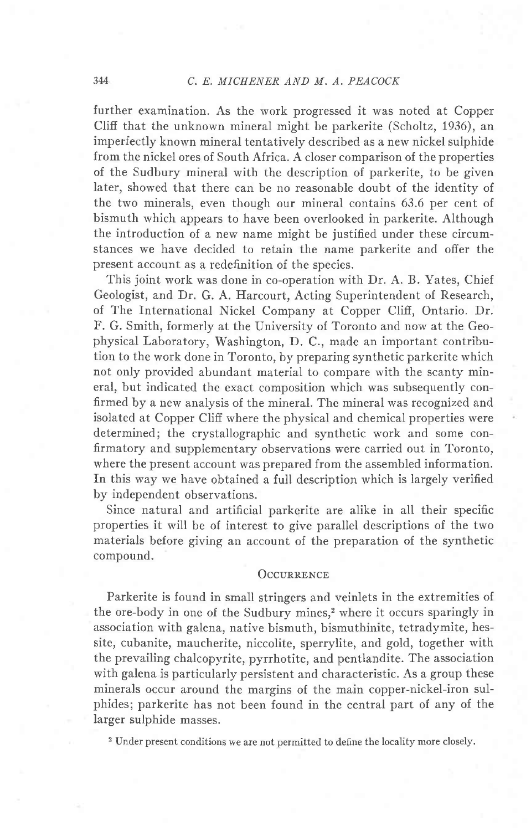#### 344 C. E. MICHENER AND M. A. PEACOCK

further examination. As the work progressed it was noted at Copper Cliff that the unknown mineral might be parkerite (Scholtz, 1936), an imperfectly known mineral tentatively described as a new nickel sulphide from the nickel ores of South Africa. A closer comparison of the properties of the Sudbury mineral with the description of parkerite, to be given later, showed that there can be no reasonable doubt of the identity of the two minerals, even though our mineral contains 63.6 per cent of bismuth which appears to have been overlooked in parkerite. Although the introduction of a new name might be justified under these circumstances we have decided to retain the name parkerite and offer the present account as a redefinition of the species.

This joint work was done in co-operation with Dr. A. B. Yates, Chief Geologist, and Dr. G. A. Harcourt, Acting Superintendent of Research, of The International Nickel Company at Copper Cliff, Ontario. Dr. F. G. Smith, formerly at the University of Toronto and now at the Geophysical Laboratory, Washington, D. C., made an important contribution to the work done in Toronto, by preparing synthetic parkerite which not only provided abundant material to compare with the scanty mineral, but indicated the exact composition which was subsequently confirmed by a new analysis of the mineral. The mineral was recognized and isolated at Copper Cliff where the physical and chemical properties were determined; the crystallographic and synthetic work and some confirmatory and supplementary observations were carried out in Toronto, where the present account was prepared from the assembled information. In this way we have obtained a full description which is largely verified by independent observations.

Since natural and artificial parkerite are alike in all their specific properties it will be of interest to give parallel descriptions of the two materials before giving an account of the preparation of the synthetic compound.

### **OCCURRENCE**

Parkerite is found in small stringers and veinlets in the extremities of the ore-body in one of the Sudbury mines,<sup>2</sup> where it occurs sparingly in association with galena, native bismuth, bismuthinite, tetradymite, hessite, cubanite, maucherite, niccolite, sperrylite, and gold, together with the prevailing chalcopyrite, pyrrhotite, and pentlandite. The association with galena is particularly persistent and characteristic. As a group these minerals occur around the margins of the main copper-nickel-iron sulphides; parkerite has not been found in the central part of any of the larger sulphide masses.

2 Under present conditions we are not permitted to define the locality more closely.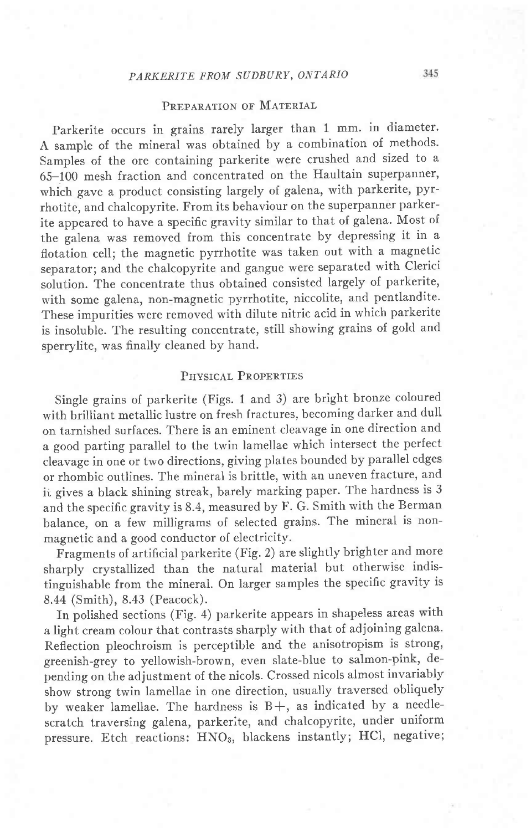# PREPARATION OF MATERIAL

Parkerite occurs in grains rarely larger than 1 mm. in diameter. A sample of the mineral was obtained by a combination of methods. Samples of the ore containing parkerite were crushed and sized to a 65-100 mesh fraction and concentrated on the Haultain superpanner, which gave a product consisting largely of galena, with parkerite, pyrrhotite, and chalcopyrite. From its behaviour on the superpanner parkerite appeared to have a specific gravity similar to that of galena. Most of the galena was removed from this concentrate by depressing it in a flotation cell; the magnetic pyrrhotite was taken out with a magnetic separator; and the chalcopyrite and gangue were separated with Clerici solution. The concentrate thus obtained consisted largely of parkerite, with some galena, non-magnetic pyrrhotite, niccolite, and pentlandite. These impurities were removed with dilute nitric acid in which parkerite is insoluble. The resulting concentrate, still showing grains of gold and sperrylite, was finally cleaned by hand,

## PHYSICAL PROPERTIES

Single grains of parkerite (Figs. 1 and 3) are bright bronze coloured with brilliant metallic lustre on fresh fractures, becoming darker and dull on tarnished surfaces. There is an eminent cleavage in one direction and a good parting parallel to the twin lamellae which intersect the perfect cleavage in one or two directions, giving plates bounded by parallel edges or rhombic outlines. The mineral is brittle, with an uneven fracture, and it gives a black shining streak, barely marking paper. The hardness is 3 and the specific gravity is 8.4, measured by F. G. Smith with the Berman balance, on a few milligrams of selected grains. The mineral is nonmagnetic and a good conductor of electricity.

Fragments of artificial parkerite (Fig. 2) are slightly brighter and more sharply crystallized than the natural material but otherwise indistinguishable from the mineral. On larger samples the specific gravity is 8.44 (Smith), 8.43 (Peacock).

In polished sections (Fig. 4) parkerite appears in shapeless areas with a light cream colour that contrasts sharply with that of adjoining galena. Reflection pleochroism is perceptible and the anisotropism is strong' greenish-grey to yellowish-brown, even slate-blue to salmon-pink, depending on the adjustment of the nicols. Crossed nicols almost invariably show strong twin lamellae in one direction, usually traversed obliquely by weaker lamellae. The hardness is  $B+$ , as indicated by a needlescratch traversing galena, parkerite, and chalcopyrite, under uniform pressure. Etch reactions: HNO3, blackens instantly; HCl, negative;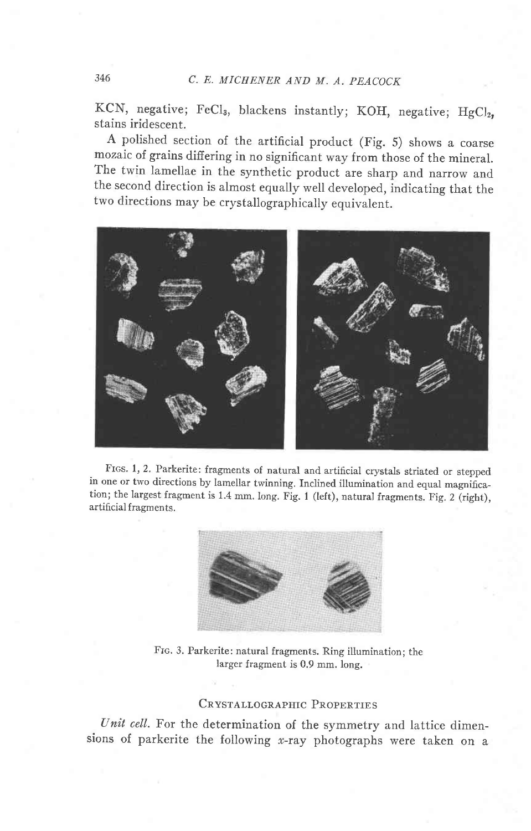# 346 C. E. MICHENER AND M. A. PEACOCR

KCN, negative; FeCl<sub>3</sub>, blackens instantly; KOH, negative; HgCl<sub>2</sub>, stains iridescent.

A polished section of the artificial product (Fig. 5) shows a coarse mozaic of grains differing in no significant way from those of the mineral. The twin lamellae in the synthetic product are sharp and narrow and the second direction is almost equally well developed, indicating that the two directions may be crystallographically equivalent.



Frcs. 1, 2. Parkerite: fragments of natural and artificial crystals striated or stepped in one or two directions by lamellar twinning. Inclined illumination and equal magnification; the largest fragment is 1.4 mm. long. Fig. 1 (left), natural fragments. Fig. 2 (right), artificial fragments.



Frc. 3. Parkerite: natural fragments. Ring illumination; the larger fragment is 0.9 mm. long.

## CRYSTALLOGRAPHIC PROPERTIES

Unit cell. For the determination of the symmetry and lattice dimensions of parkerite the following  $x$ -ray photographs were taken on a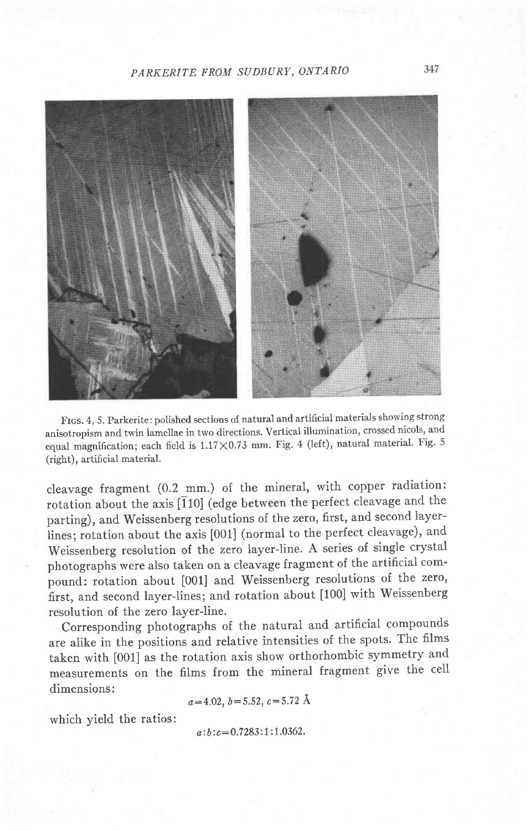## PARKERITE FROM SUDBURY, ONTARIO



Frcs. 4, 5. Parkerite: polished sections of natural and artificial materials showing strong anisotropism and twin lamellae in two directions. Vertical illumination, crossed nicols, and equal magnification; each field is  $1.17 \times 0.73$  mm. Fig. 4 (left), natural material. Fig. 5 (right), artificial material.

cleavage fragment (0.2 mm.) of the mineral, with copper radiation: rotation about the axis  $\overline{[110]}$  (edge between the perfect cleavage and the parting), and Weissenberg resolutions of the zero, first, and second layerlines; rotation about the axis [001] (normal to the perfect cleavage), and Weissenberg resolution of the zero layer-line. A series of single crystal photographs were also taken on a cleavage fragment of the artificial compound: rotation about [001] and Weissenberg resolutions of the zero, hrst, and second layer-Iines; and rotation about [100] with Weissenberg resolution of the zero layer-line.

Corresponding photographs of the natural and artificial compounds are alike in the positions and relative intensities of the spots. The films taken with [001] as the rotation axis show orthorhombic symmetry and measurements on the films from the mineral fragment give the cell dimensions:

 $a=4.02, b=5.52, c=5.72$  Å

which yield the ratios:

 $a:b:c=0.7283:1:1.0362$ .

347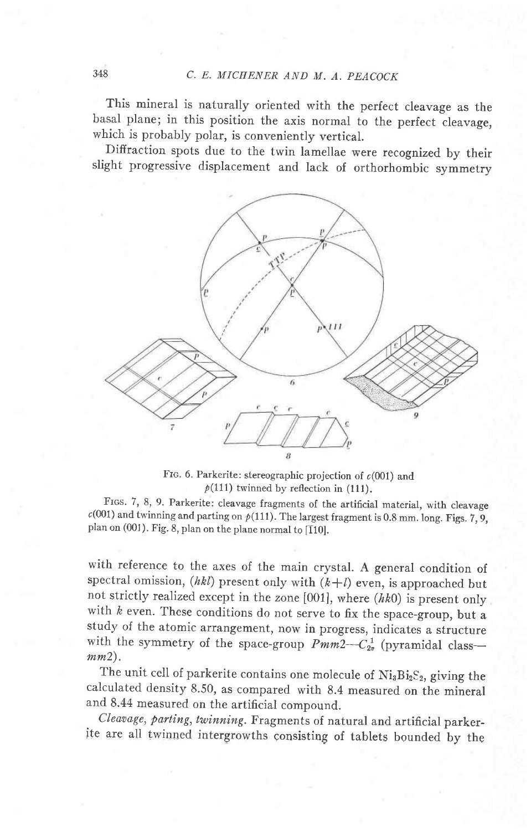This mineral is naturally oriented with the perfect cleavage as the basal plane; in this position the axis normal to the perfect cleavage, which is probably polar, is conveniently vertical.

Diffraction spots due to the twin lamellae were recognized by their slight progressive displacement and lack of orthorhombic symmetry



Frc. 6. Parkerite: stereographic projection of  $c(001)$  and  $p(111)$  twinned by reflection in (111).

FIGS. 7, 8, 9. Parkerite: cleavage fragments of the artificial material, with cleavage  $c(001)$  and twinning and parting on  $p(111)$ . The largest fragment is 0.8 mm. long. Figs. 7, 9, plan on (001). Fig. 8, plan on the plane normal to [110].

with reference to the axes of the main crystal. A general condition of spectral omission,  $(hkl)$  present only with  $(k+l)$  even, is approached but not strictly realized except in the zone  $[001]$ , where  $(hk0)$  is present only with  $k$  even. These conditions do not serve to fix the space-group, but a study of the atomic arrangement, now in progress, indicates a structure with the symmetry of the space-group  $Pmm2--C_{2v}^1$  (pyramidal class-mm2).

The unit cell of parkerite contains one molecule of  $Ni<sub>3</sub>Bi<sub>2</sub>S<sub>2</sub>$ , giving the calculated density 8.50, as compared with 8.4 measured on the mineral and 8.44 measured on the artificial compound.

Crearage, parting, twinning. Fragments of natural and artificial parker-<br>ite are all twinned intergrowths consisting of tablets bounded by the Cleavage, parting, twinning. Fragments of natural and artificial parker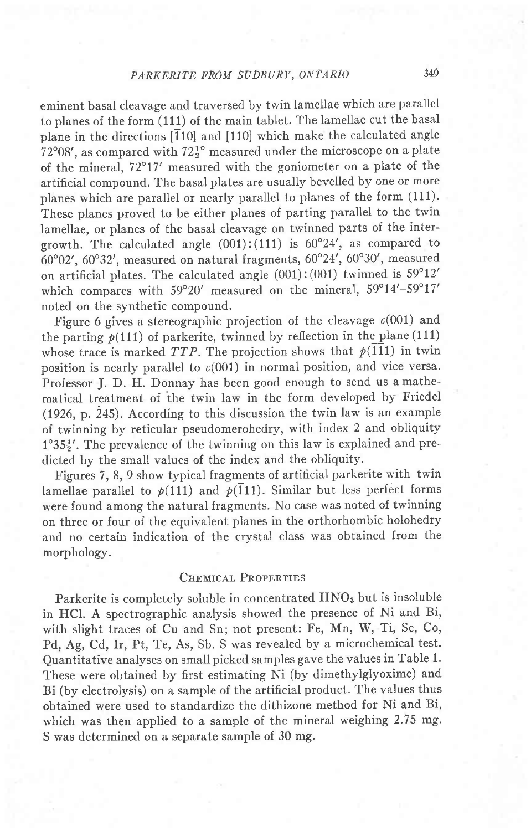eminent basal cleavage and traversed by twin lamellae which are parallel to planes of the form (111) of the main tablet. The lamellae cut the basal plane in the directions  $\overline{110}$  and  $\overline{110}$  which make the calculated angle  $72^{\circ}08'$ , as compared with  $72\frac{1}{2}^{\circ}$  measured under the microscope on a plate of the mineral, 72"17' measured with the goniometer on a plate of the artificial compound. The basal plates are usually bevelled by one or more planes which are parallel or nearly parallel to planes of the form (111). These planes proved to be either planes of parting parallel to the twin lamellae, or planes of the basal cleavage on twinned parts of the intergrowth. The calculated angle  $(001):(111)$  is  $60^{\circ}24'$ , as compared to  $60°02'$ ,  $60°32'$ , measured on natural fragments,  $60°24'$ ,  $60°30'$ , measured on artificial plates. The calculated angle  $(001):(001)$  twinned is  $59^{\circ}12'$ which compares with  $59^{\circ}20'$  measured on the mineral,  $59^{\circ}14'$ - $59^{\circ}17'$ noted on the synthetic compound.

Figure 6 gives a stereographic projection of the cleavage  $c(001)$  and the parting  $p(111)$  of parkerite, twinned by reflection in the plane (111) whose trace is marked TTP. The projection shows that  $p(111)$  in twin position is nearly parallel to  $c(001)$  in normal position, and vice versa. Professor J. D. H. Donnay has been good enough to send us a mathematical treatment of the twin law in the form developed by Friedel (1926, p.  $245$ ). According to this discussion the twin law is an example of twinning by reticular pseudomerohedry, with index 2 and obliquity  $1^{\circ}35\frac{1}{2}$ . The prevalence of the twinning on this law is explained and predicted by the small values of the index and the obliquity.

Figures 7, 8, 9 show typical fragments of artificial parkerite with twin lamellae parallel to  $p(111)$  and  $p(111)$ . Similar but less perfect forms were found among the natural fragments. No case was noted of twinning on three or four of the equivalent planes in the orthorhombic holohedry and no certain indication of the crvstal class was obtained from the morphology.

## CHEMICAL PROPERTIES

Parkerite is completely soluble in concentrated HNO<sub>3</sub> but is insoluble in HCl. A spectrographic analysis showed the presence of Ni and Bi, with slight traces of Cu and Sn; not present: Fe, Mn, W, Ti, Sc, Co, Pd, Ag, Cd, Ir, Pt, Te, As, Sb. S was revealed by a microchemical test. Quantitative analyses on small picked samples gave the values in Table 1. These were obtained by first estimating Ni (by dimethylglyoxime) and Bi (by electrolysis) on a sample of the artificial product. The values thus obtained were used to standardize the dithizone method for Ni and Bi, which was then applied to a sample of the mineral weighing 2.75 mg. S was determined on a separate sample of 30 mg.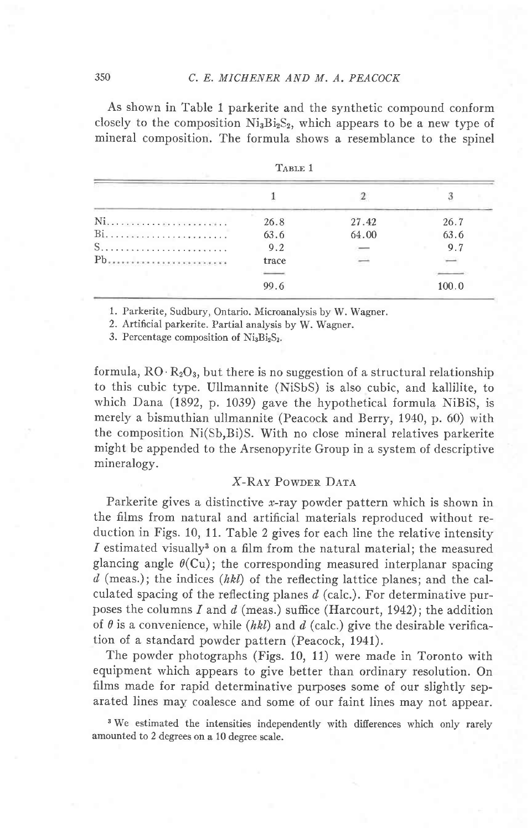## 350 C. E. MICHENER AND M. A. PEACOCR

As shown in Table 1 parkerite and the synthetic compound conform closely to the composition  $Ni<sub>3</sub>Bi<sub>2</sub>S<sub>2</sub>$ , which appears to be a new type of mineral composition. The formula shows a resemblance to the spinel

|       | TABLE I |                          |       |
|-------|---------|--------------------------|-------|
|       |         |                          |       |
| Ni    | 26.8    | 27.42                    | 26.7  |
| $Bi.$ | 63.6    | 64.00                    | 63.6  |
|       | 9.2     | $\overline{\phantom{a}}$ | 9.7   |
| Ph    | trace   |                          |       |
|       | --      |                          |       |
|       | 99.6    |                          | 100.0 |

|--|--|--|--|

1. Parkerite, Sudbury, Ontario. Microanalysis by W. Wagner.

2. Artificial parkerite. Partial analysis by W. Wagner.

3. Percentage composition of  $Ni<sub>3</sub>Bi<sub>2</sub>S<sub>2</sub>$ .

formula,  $RO \cdot R_2O_3$ , but there is no suggestion of a structural relationship to this cubic type. Ullmannite (NiSbS) is also cubic, and kallilite, to which Dana (1892, p. 1039) gave the hypothetical formula NiBiS, is merely a bismuthian ullmannite (Peacock and Berry, 1940, p. 60) with the composition Ni(Sb,Bi)S. With no close mineral relatives parkerite might be appended to the Arsenopyrite Group in a system of descriptive mineralogy.

## **X-RAY POWDER DATA**

Parkerite gives a distinctive x-ray powder pattern which is shown in the films from natural and artificial materials reproduced without reduction in Figs. 10, 11. Table 2 gives for each line the relative intensity I estimated visually<sup>3</sup> on a film from the natural material; the measured glancing angle  $\theta$ (Cu); the corresponding measured interplanar spacing d (meas.); the indices (hkl) of the reflecting lattice planes; and the calculated spacing of the reflecting planes  $d$  (calc.). For determinative purposes the columns I and  $d$  (meas.) suffice (Harcourt, 1942); the addition of  $\theta$  is a convenience, while (hkl) and d (calc.) give the desirable verification of a standard powder pattern (Peacock, 1941).

The powder photographs (Figs. 10, 11) were made in Toronto with equipment which appears to give better than ordinary resolution. On films made for rapid determinative purposes some of our slightly separated lines may coalesce and some of our faint lines may not appear.

<sup>3</sup> We estimated the intensities independently with differences which only rarely amounted to 2 degrees on a 10 degree scale.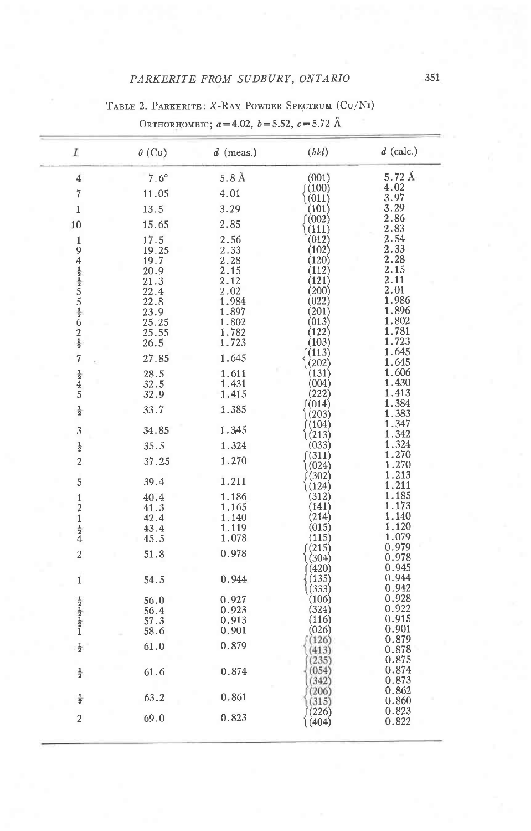# TABLE 2. PARKERITE: X-RAY POWDER SPECTRUM (CU/NI)

| I                                                             | $\theta$ (Cu) | $d$ (meas.)      | (hkl)          | $d$ (calc.)    |
|---------------------------------------------------------------|---------------|------------------|----------------|----------------|
| $\overline{4}$                                                | $7.6^{\circ}$ | 5.8 <sub>A</sub> | (001)          | 5.72Å          |
| $\overline{7}$                                                | 11.05         | 4.01             | 〔(100)         | 4.02           |
|                                                               |               |                  | (011)          | 3.97           |
| 1                                                             | 13.5          | 3.29             | (101)<br>(002) | 3.29<br>2.86   |
| 10                                                            | 15.65         | 2.85             | (111)          | 2.83           |
|                                                               | 17.5          | 2.56             | (012)          | 2.54           |
| $194\frac{1}{2}$ $\frac{1}{2}$ $5\frac{1}{2}$ $62\frac{1}{2}$ | 19.25         | 2.33             | (102)          | 2.33           |
|                                                               | 19.7          | 2.28             | (120)          | 2.28           |
|                                                               | 20.9          | 2.15             | (112)          | 2.15           |
|                                                               | 21.3          | 2.12             | (121)          | 2.11           |
|                                                               | 22.4          | 2.02             | (200)          | 2.01<br>1.986  |
|                                                               | 22.8          | 1.984<br>1.897   | (022)<br>(201) | 1.896          |
|                                                               | 23.9<br>25.25 | 1.802            | (013)          | 1.802          |
|                                                               | 25.55         | 1.782            | (122)          | 1.781          |
|                                                               | 26.5          | 1.723            | (103)          | 1.723          |
|                                                               |               |                  | (113)          | 1.645          |
| $\overline{7}$                                                | 27.85         | 1.645            | (202)          | 1.645          |
|                                                               | 28.5          | 1.611            | (131)          | 1.606          |
| $\frac{1}{2}$ 45                                              | 32.5          | 1.431            | (004)          | 1.430          |
|                                                               | 32.9          | 1.415            | (222)          | 1.413          |
| $\frac{1}{2}$                                                 | 33.7          | 1.385            | (014)          | 1.384          |
|                                                               |               |                  | (203)          | 1.383<br>1.347 |
| 3                                                             | 34.85         | 1.345            | (104)<br>(213) | 1.342          |
|                                                               | 35.5          | 1.324            | (033)          | 1.324          |
| $\frac{1}{2}$                                                 |               |                  | (311)          | 1.270          |
| $\overline{\mathbf{c}}$                                       | 37.25         | 1.270            | (024)          | 1.270          |
|                                                               |               |                  | (302)          | 1.213          |
| 5                                                             | 39.4          | 1.211            | (124)          | 1.211          |
| $\mathbf{1}$                                                  | 40.4          | 1.186            | (312)          | 1.185          |
| $\frac{2}{1}$                                                 | 41.3          | 1.165            | (141)          | 1.173          |
|                                                               | 42.4          | 1.140            | (214)          | 1.140          |
| $\frac{1}{2}$                                                 | 43.4          | 1.119            | (015)          | 1.120<br>1.079 |
|                                                               | 45.5          | 1.078            | (115)<br>(215) | 0.979          |
| $\overline{a}$                                                | 51.8          | 0.978            | (304)          | 0.978          |
|                                                               |               |                  | (420)          | 0.945          |
| 1                                                             | 54.5          | 0.944            | (135)          | 0.944          |
|                                                               |               |                  | (333)          | 0.942          |
|                                                               | 56.0          | 0.927            | (106)          | 0.928          |
| $\frac{1}{2}$ $\frac{1}{2}$ $\frac{1}{2}$ $\frac{1}{2}$       | 56.4          | 0.923            | (324)          | 0.922          |
|                                                               | 57.3          | 0.913            | (116)          | 0.915          |
|                                                               | 58.6          | 0.901            | (026)          | 0.901<br>0.879 |
| $\frac{1}{2}$                                                 | 61.0          | 0.879            | (126)          | 0.878          |
|                                                               |               |                  | (413)<br>(235) | 0.875          |
|                                                               | 61.6          | 0.874            | (054)          | 0.874          |
| $\frac{1}{2}$                                                 |               |                  | (342)          | 0.873          |
|                                                               |               |                  | (206)          | 0.862          |
| $\frac{1}{2}$                                                 | 63.2          | 0.861            | (315)          | 0.860          |
|                                                               |               | 0.823            | (226)          | 0.823          |
| $\boldsymbol{2}$                                              | 69.0          |                  | (404)          | 0.822          |

# ORTHORHOMBIC;  $a=4.02$ ,  $b=5.52$ ,  $c=5.72$  Å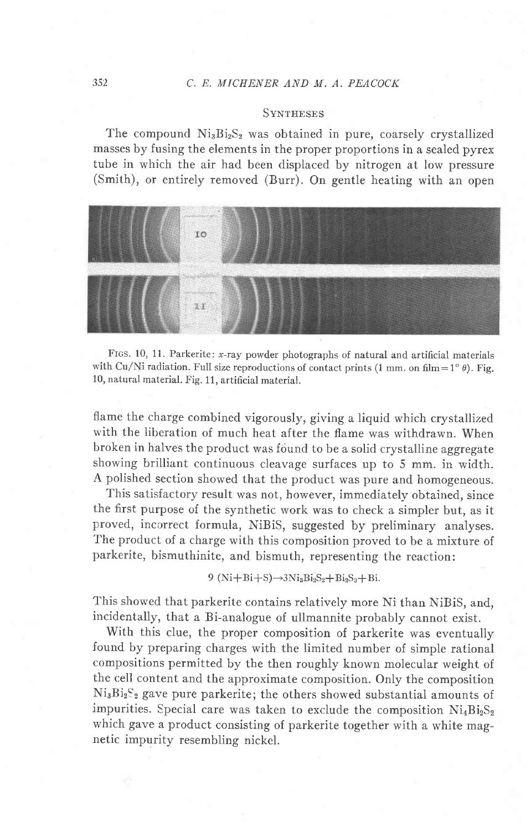#### 352 C. E, MICHENER AND M. A. PEACOCK

#### **SVNTHESES**

The compound  $Ni<sub>3</sub>Bi<sub>2</sub>S<sub>2</sub>$  was obtained in pure, coarsely crystallized masses by fusing the elements in the proper proportions in a sealed pyrex tube in which the air had been displaced by nitrogen at low pressure (Smith), or entirely removed (Burr). On gentle heating with an open



FIGS. 10, 11. Parkerite: x-ray powder photographs of natural and artificial materials with Cu/Ni radiation. Full size reproductions of contact prints (1 mm. on film=1° $\theta$ ). Fig. 10, natural material. Fig. 11, artificial material.

flame the charge combined vigorously, giving a liquid which crystallized with the liberation of much heat after the flame was withdrawn. When broken in halves the product was found to be a solid crystalline aggregate showing brilliant continuous cleavage surfaces up to 5 mm. in width. A polished section showed that the product was pure and homogeneous.

This satisfactory result was not, however, immediately obtained, since the first purpose of the synthetic work was to check a simpler but, as it proved, incorrect formula, NiBiS, suggested by preliminary analyses. The product of a charge with this composition proved to be a mixture of parkerite, bismuthinite, and bismuth, representing the reaction:

 $9 (Ni + Bi + S) \rightarrow 3Ni_3Bi_2S_2 + Bi_2S_3 + Bi.$ 

This showed that parkerite contains relatively more Ni than NiBiS, and, incidentally, that a Bi-analogue of ullmannite probably cannot exist.

With this clue, the proper composition of parkerite was eventually found by preparing charges with the limited number of simple rational compositions permitted by the then roughly known molecular weight of the cell content and the approximate composition. Only the composition  $Ni<sub>3</sub>Bi<sub>2</sub>S<sub>2</sub>$  gave pure parkerite; the others showed substantial amounts of impurities. Special care was taken to exclude the composition  $Ni_4Bi_2S_2$ which gave a product consisting of parkerite together with a white magnetic impurity resembling nickel.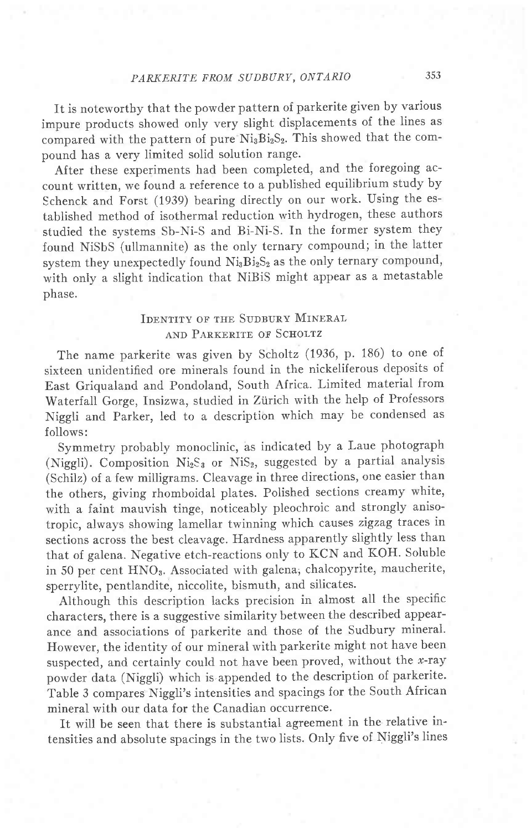# PARKERITE FROM SUDBURY, ONTARIO 353

It is noteworthy that the powder pattern of parkerite given by various impure products showed only very slight displacements of the lines as compared with the pattern of pure Ni<sub>3</sub>Bi<sub>2</sub>S<sub>2</sub>. This showed that the compound has a very limited solid solution range.

After these experiments had been completed, and the foregoing account written, we found a reference to a published equilibrium study by Schenck and Forst (1939) bearing directly on our work. Using the established method of isothermal reduction with hydrogen, these authors studied the systems Sb-Ni-S and Bi-Ni-S. In the former system they found NiSbS (ullmannite) as the only ternary compound; in the latter system they unexpectedly found  $Ni_3Bi_2S_2$  as the only ternary compound, with only a slight indication that NiBiS might appear as a metastable phase.

# IDENTITY OF THE SUDBURY MINERAL AND PARKERITE OF SCHOLTZ

The name parkerite was given by Scholtz (1936, p. 186) to one of sixteen unidentified ore minerals found in the nickeliferous deposits of East Griqualand and Pondoland, South Africa. Limited material from waterfall Gorge, Insizwa, studied in Ziirich with the help of Professors Niggli and Parker, led to a description which may be condensed as follows:

Symmetry probably monoclinic, as indicated by a Laue photograph (Niggli). Composition  $Ni<sub>2</sub>S<sub>3</sub>$  or NiS<sub>2</sub>, suggested by a partial analysis (Schilz) of a few milligrams. Cleavage in three directions, one easier than the others, giving rhomboidal plates. Polished sections creamy white, with a faint mauvish tinge, noticeably pleochroic and strongly anisotropic, always showing lamellar twinning which causes zigzag traces in sections across the best cleavage. Hardness apparently slightly less than that of galena. Negative etch-reactions only to KCN and KOH. Soluble in 50 per cent HNOs. Associated with galena; chalcopyrite, maucherite, sperrylite, pentlandite, niccolite, bismuth, and silicates.

Although this description lacks precision in almost all the specific characters, there is a suggestive similarity between the described appearance and associations of parkerite and those of the Sudbury mineral' However, the identity of our mineral with parkerite might not have been suspected, and certainly could not have been proved, without the  $x$ -ray powder data (Niggli) which is appended to the description of parkerite. Table 3 compares Niggli's intensities and spacings for the South African mineral with our data for the Canadian occurrence.

It will be seen that there is substantial agreement in the relative intensities and absolute spacings in the two lists. Only five of Niggli's lines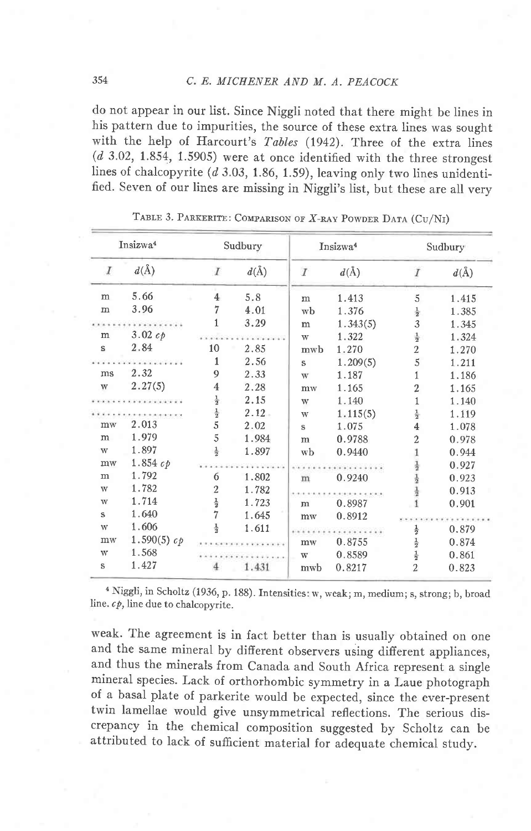do not appear in our list. Since Niggli noted that there might be lines in his pattern due to impurities, the source of these extra lines was sought with the help of Harcourt's Tables (1942). Three of the extra lines  $(d$  3.02, 1.854, 1.5905) were at once identified with the three strongest lines of chalcopyrite  $(d$  3.03, 1.86, 1.59), leaving only two lines unidentified. Seven of our lines are missing in Niggli's list, but these are all very

| Insizwa <sup>4</sup>    |                     | Sudbury                 |          | Insizwa <sup>4</sup> |          | Sudbury                       |          |
|-------------------------|---------------------|-------------------------|----------|----------------------|----------|-------------------------------|----------|
| $\boldsymbol{I}$        | $d(\AA)$            | $\overline{I}$          | $d(\AA)$ | $\overline{I}$       | $d(\AA)$ | I                             | $d(\AA)$ |
| m                       | 5.66                | $\overline{4}$          | 5.8      | m                    | 1.413    | 5                             | 1.415    |
| ${\bf m}$               | 3.96                | 7                       | 4.01     | wb                   | 1.376    | $\frac{1}{2}$                 | 1.385    |
|                         |                     | 1                       | 3.29     | m                    | 1.343(5) | 3                             | 1.345    |
| m                       | 3.02 c <sub>p</sub> |                         |          | W                    | 1.322    | $\frac{1}{2}$                 | 1.324    |
| s                       | 2.84                | 10                      | 2.85     | mwb                  | 1.270    | $\overline{2}$                | 1.270    |
|                         | .                   | 1                       | 2.56     | S                    | 1.209(5) | 5                             | 1.211    |
| ms                      | 2.32                | 9                       | 2.33     | W                    | 1.187    | 1                             | 1.186    |
| $\ensuremath{\text{W}}$ | 2.27(5)             | $\overline{\mathbf{4}}$ | 2.28     | mw                   | 1.165    | 2                             | 1.165    |
|                         |                     | $\frac{1}{2}$           | 2.15     | W                    | 1.140    | 1                             | 1.140    |
|                         |                     |                         | $2.12 -$ | W                    | 1.115(5) | $\frac{1}{2}$                 | 1.119    |
| mw                      | 2.013               | $\frac{1}{2}$           | 2.02     | s                    | 1.075    | $\overline{4}$                | 1.078    |
| m                       | 1.979               | 5                       | 1.984    | m                    | 0.9788   | $\overline{2}$                | 0.978    |
| W                       | 1.897               |                         | 1.897    | wb                   | 0.9440   |                               | 0.944    |
| $m$ w                   | 1.854 c             |                         |          |                      |          |                               | 0.927    |
| m                       | 1.792               | 6                       | 1.802    | m                    | 0.9240   |                               | 0.923    |
| W                       | 1.782               | 2                       | 1.782    |                      |          |                               | 0.913    |
| W                       | 1.714               |                         | 1.723    | m                    | 0.8987   |                               | 0.901    |
| s                       | 1.640               | $\frac{1}{2}$           | 1.645    | mw                   | 0.8912   |                               |          |
| W                       | 1.606               |                         | 1.611    |                      |          | $\frac{1}{2}$                 | 0.879    |
| mw                      | 1.590(5) $c_p$      |                         |          | mw                   | 0.8755   |                               | 0.874    |
| W                       | 1.568               |                         |          | W                    | 0.8589   | $\frac{1}{2}$ $\frac{1}{2}$ 2 | 0.861    |
| s                       | 1.427               |                         | 1.431    | mwb                  | 0.8217   |                               | 0.823    |

TABLE 3. PARKERITE: COMPARISON OF X-RAY POWDER DATA (CU/NI)

<sup>4</sup> Niggli, in Scholtz (1936, p. 188). Intensities: w, weak; m, medium; s, strong; b, broad line.  $c\hat{p}$ , line due to chalcopyrite.

weak. The agreement is in fact better than is usually obtained on one and the same mineral by different observers using different appliances, and thus the minerals from Canada and South Africa represent a single mineral species. Lack of orthorhombic symmetry in a Laue photograph of a basal plate of parkerite would be expected, since the ever-present twin lamellae would give unsymmetrical reflections. The serious discrepancy in the chemical composition suggested by Scholtz can be attributed to lack of sufficient material for adequate chemical study.